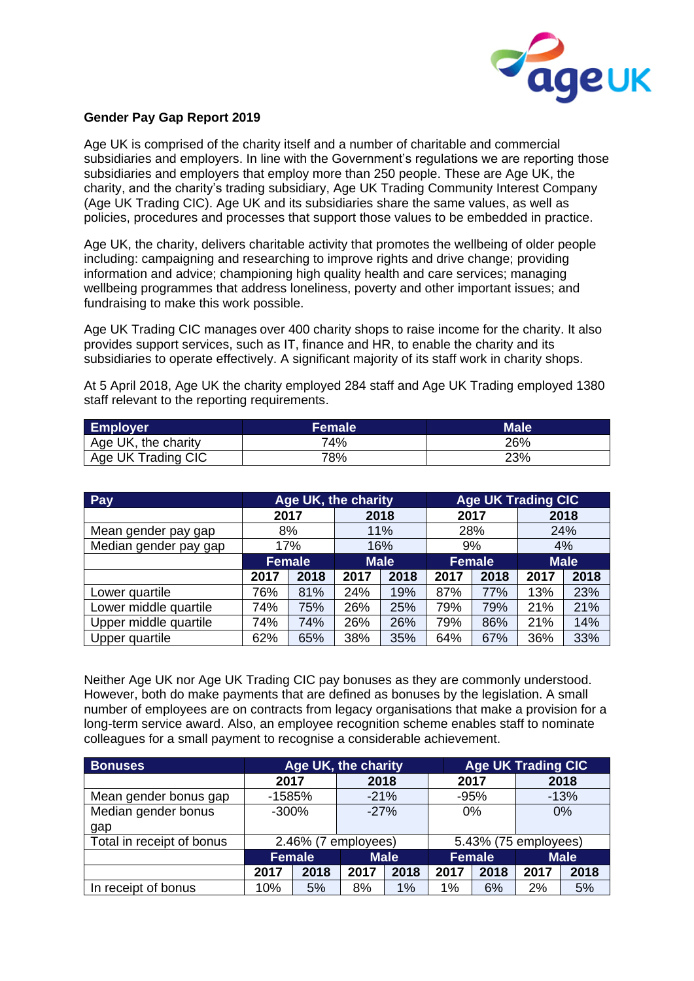

## **Gender Pay Gap Report 2019**

Age UK is comprised of the charity itself and a number of charitable and commercial subsidiaries and employers. In line with the Government's regulations we are reporting those subsidiaries and employers that employ more than 250 people. These are Age UK, the charity, and the charity's trading subsidiary, Age UK Trading Community Interest Company (Age UK Trading CIC). Age UK and its subsidiaries share the same values, as well as policies, procedures and processes that support those values to be embedded in practice.

Age UK, the charity, delivers charitable activity that promotes the wellbeing of older people including: campaigning and researching to improve rights and drive change; providing information and advice; championing high quality health and care services; managing wellbeing programmes that address loneliness, poverty and other important issues; and fundraising to make this work possible.

Age UK Trading CIC manages over 400 charity shops to raise income for the charity. It also provides support services, such as IT, finance and HR, to enable the charity and its subsidiaries to operate effectively. A significant majority of its staff work in charity shops.

At 5 April 2018, Age UK the charity employed 284 staff and Age UK Trading employed 1380 staff relevant to the reporting requirements.

| <b>Employer</b>     | <b>Female</b> | <b>Male</b> |
|---------------------|---------------|-------------|
| Age UK, the charity | 74%           | 26%         |
| Age UK Trading CIC  | 78%           | 23%         |

| Pay                   | Age UK, the charity |      |             |      | <b>Age UK Trading CIC</b> |      |             |      |
|-----------------------|---------------------|------|-------------|------|---------------------------|------|-------------|------|
|                       | 2017                |      | 2018        |      | 2017                      |      | 2018        |      |
| Mean gender pay gap   | 8%                  |      | 11%         |      | 28%                       |      | 24%         |      |
| Median gender pay gap | 17%                 |      | 16%         |      | 9%                        |      | 4%          |      |
|                       | <b>Female</b>       |      | <b>Male</b> |      | <b>Female</b>             |      | <b>Male</b> |      |
|                       | 2017                | 2018 | 2017        | 2018 | 2017                      | 2018 | 2017        | 2018 |
| Lower quartile        | 76%                 | 81%  | 24%         | 19%  | 87%                       | 77%  | 13%         | 23%  |
| Lower middle quartile | 74%                 | 75%  | 26%         | 25%  | 79%                       | 79%  | 21%         | 21%  |
| Upper middle quartile | 74%                 | 74%  | 26%         | 26%  | 79%                       | 86%  | 21%         | 14%  |
| Upper quartile        | 62%                 | 65%  | 38%         | 35%  | 64%                       | 67%  | 36%         | 33%  |

Neither Age UK nor Age UK Trading CIC pay bonuses as they are commonly understood. However, both do make payments that are defined as bonuses by the legislation. A small number of employees are on contracts from legacy organisations that make a provision for a long-term service award. Also, an employee recognition scheme enables staff to nominate colleagues for a small payment to recognise a considerable achievement.

| <b>Bonuses</b>            | Age UK, the charity |      |             |      | <b>Age UK Trading CIC</b> |      |             |      |
|---------------------------|---------------------|------|-------------|------|---------------------------|------|-------------|------|
|                           | 2017                |      | 2018        |      |                           | 2017 |             | 2018 |
| Mean gender bonus gap     | $-1585%$            |      | $-21%$      |      | $-95%$                    |      | $-13%$      |      |
| Median gender bonus       | $-300%$             |      | $-27%$      |      | 0%                        |      | 0%          |      |
| gap                       |                     |      |             |      |                           |      |             |      |
| Total in receipt of bonus | 2.46% (7 employees) |      |             |      | 5.43% (75 employees)      |      |             |      |
|                           | <b>Female</b>       |      | <b>Male</b> |      | <b>Female</b>             |      | <b>Male</b> |      |
|                           | 2017                | 2018 | 2017        | 2018 | 2017                      | 2018 | 2017        | 2018 |
| In receipt of bonus       | 10%                 | 5%   | 8%          | 1%   | 1%                        | 6%   | 2%          | 5%   |